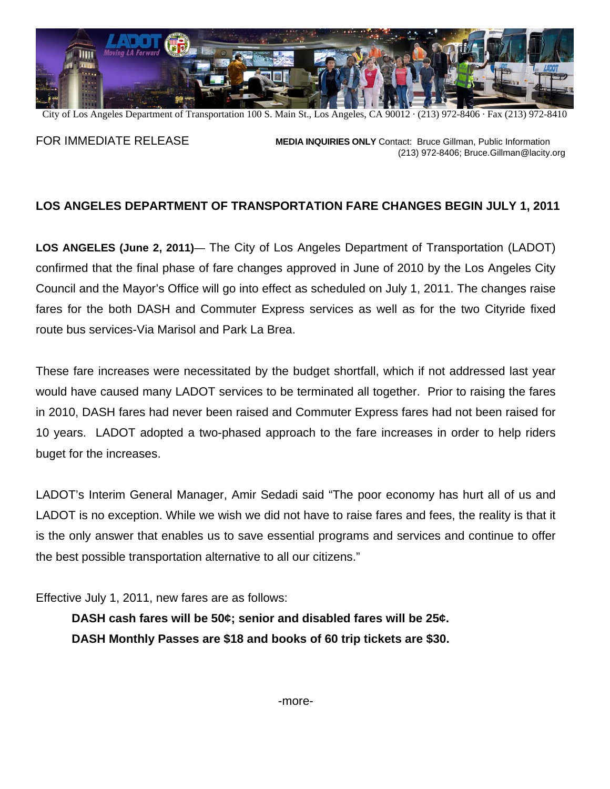

City of Los Angeles Department of Transportation 100 S. Main St., Los Angeles, CA 90012 · (213) 972-8406 · Fax (213) 972-8410

FOR IMMEDIATE RELEASE **MEDIA INQUIRIES ONLY** Contact: Bruce Gillman, Public Information (213) 972-8406; [Bruce.Gillman@lacity.org](mailto:Bruce.Gillman@lacity.org)

## **LOS ANGELES DEPARTMENT OF TRANSPORTATION FARE CHANGES BEGIN JULY 1, 2011**

**LOS ANGELES (June 2, 2011)**— The City of Los Angeles Department of Transportation (LADOT) confirmed that the final phase of fare changes approved in June of 2010 by the Los Angeles City Council and the Mayor's Office will go into effect as scheduled on July 1, 2011. The changes raise fares for the both DASH and Commuter Express services as well as for the two Cityride fixed route bus services-Via Marisol and Park La Brea.

These fare increases were necessitated by the budget shortfall, which if not addressed last year would have caused many LADOT services to be terminated all together. Prior to raising the fares in 2010, DASH fares had never been raised and Commuter Express fares had not been raised for 10 years. LADOT adopted a two-phased approach to the fare increases in order to help riders buget for the increases.

LADOT's Interim General Manager, Amir Sedadi said "The poor economy has hurt all of us and LADOT is no exception. While we wish we did not have to raise fares and fees, the reality is that it is the only answer that enables us to save essential programs and services and continue to offer the best possible transportation alternative to all our citizens."

Effective July 1, 2011, new fares are as follows:

**DASH cash fares will be 50¢; senior and disabled fares will be 25¢. DASH Monthly Passes are \$18 and books of 60 trip tickets are \$30.**